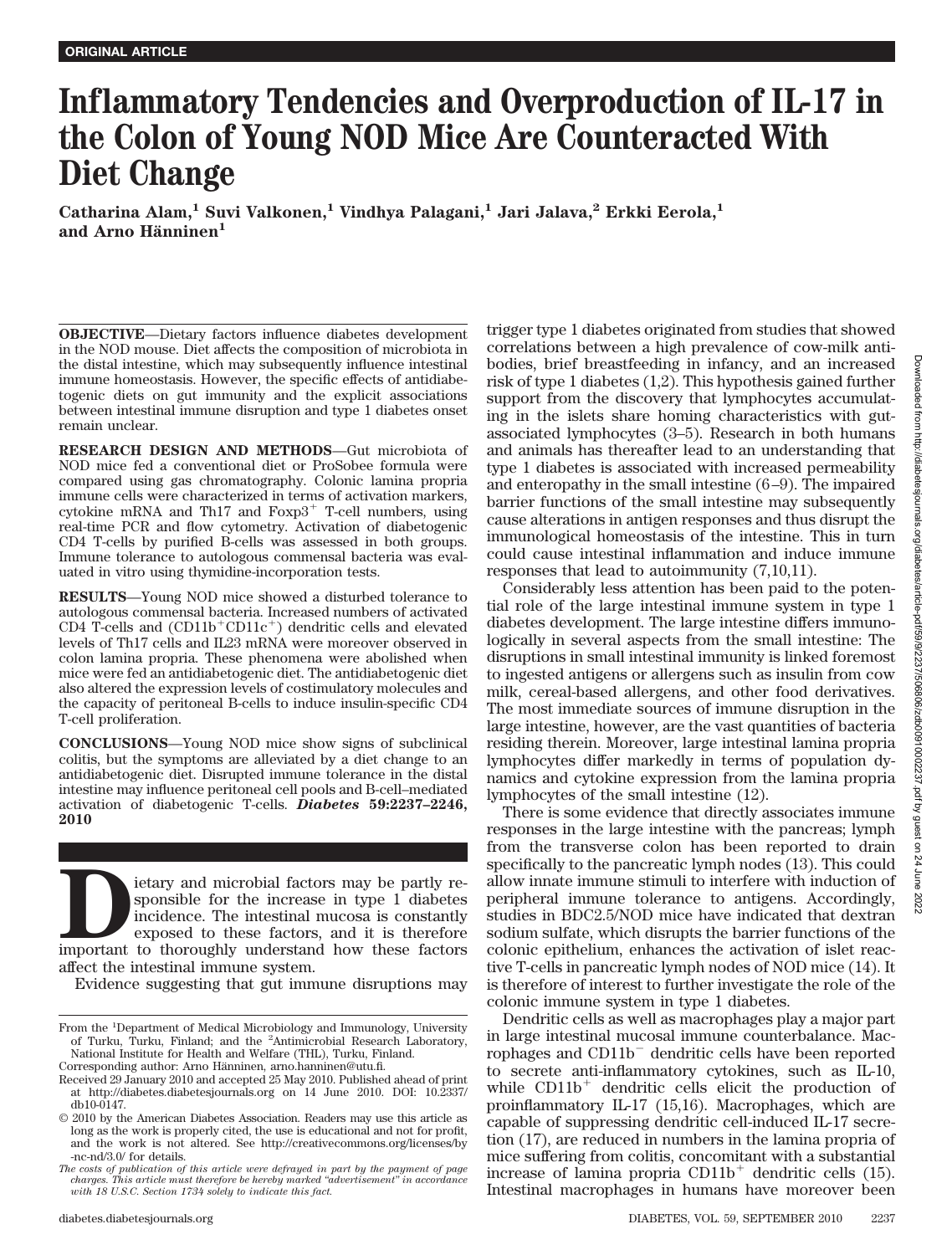# **Inflammatory Tendencies and Overproduction of IL-17 in the Colon of Young NOD Mice Are Counteracted With Diet Change**

**Catharina Alam,1 Suvi Valkonen,1 Vindhya Palagani,1 Jari Jalava,2 Erkki Eerola,1** and Arno Hänninen<sup>1</sup>

**OBJECTIVE**—Dietary factors influence diabetes development in the NOD mouse. Diet affects the composition of microbiota in the distal intestine, which may subsequently influence intestinal immune homeostasis. However, the specific effects of antidiabetogenic diets on gut immunity and the explicit associations between intestinal immune disruption and type 1 diabetes onset remain unclear.

**RESEARCH DESIGN AND METHODS**—Gut microbiota of NOD mice fed a conventional diet or ProSobee formula were compared using gas chromatography. Colonic lamina propria immune cells were characterized in terms of activation markers, cytokine mRNA and Th17 and  $Foxp3$ <sup>+</sup> T-cell numbers, using real-time PCR and flow cytometry. Activation of diabetogenic CD4 T-cells by purified B-cells was assessed in both groups. Immune tolerance to autologous commensal bacteria was evaluated in vitro using thymidine-incorporation tests.

**RESULTS**—Young NOD mice showed a disturbed tolerance to autologous commensal bacteria. Increased numbers of activated CD4 T-cells and  $(CD11b^{\dagger}CD11c^{\dagger})$  dendritic cells and elevated levels of Th17 cells and IL23 mRNA were moreover observed in colon lamina propria. These phenomena were abolished when mice were fed an antidiabetogenic diet. The antidiabetogenic diet also altered the expression levels of costimulatory molecules and the capacity of peritoneal B-cells to induce insulin-specific CD4 T-cell proliferation.

**CONCLUSIONS**—Young NOD mice show signs of subclinical colitis, but the symptoms are alleviated by a diet change to an antidiabetogenic diet. Disrupted immune tolerance in the distal intestine may influence peritoneal cell pools and B-cell–mediated activation of diabetogenic T-cells. *Diabetes* **59:2237–2246, 2010**

**DEREV** is easy of the increase in type 1 diabetes incidence. The intestinal mucosa is constantly exposed to these factors, and it is therefore important to thoroughly understand how these factors sponsible for the increase in type 1 diabetes incidence. The intestinal mucosa is constantly exposed to these factors, and it is therefore affect the intestinal immune system.

Evidence suggesting that gut immune disruptions may

trigger type 1 diabetes originated from studies that showed correlations between a high prevalence of cow-milk antibodies, brief breastfeeding in infancy, and an increased risk of type 1 diabetes (1,2). This hypothesis gained further support from the discovery that lymphocytes accumulating in the islets share homing characteristics with gutassociated lymphocytes (3–5). Research in both humans and animals has thereafter lead to an understanding that type 1 diabetes is associated with increased permeability and enteropathy in the small intestine (6–9). The impaired barrier functions of the small intestine may subsequently cause alterations in antigen responses and thus disrupt the immunological homeostasis of the intestine. This in turn could cause intestinal inflammation and induce immune responses that lead to autoimmunity (7,10,11).

Considerably less attention has been paid to the potential role of the large intestinal immune system in type 1 diabetes development. The large intestine differs immunologically in several aspects from the small intestine: The disruptions in small intestinal immunity is linked foremost to ingested antigens or allergens such as insulin from cow milk, cereal-based allergens, and other food derivatives. The most immediate sources of immune disruption in the large intestine, however, are the vast quantities of bacteria residing therein. Moreover, large intestinal lamina propria lymphocytes differ markedly in terms of population dynamics and cytokine expression from the lamina propria lymphocytes of the small intestine (12).

There is some evidence that directly associates immune responses in the large intestine with the pancreas; lymph from the transverse colon has been reported to drain specifically to the pancreatic lymph nodes (13). This could allow innate immune stimuli to interfere with induction of peripheral immune tolerance to antigens. Accordingly, studies in BDC2.5/NOD mice have indicated that dextran sodium sulfate, which disrupts the barrier functions of the colonic epithelium, enhances the activation of islet reactive T-cells in pancreatic lymph nodes of NOD mice (14). It is therefore of interest to further investigate the role of the colonic immune system in type 1 diabetes.

Dendritic cells as well as macrophages play a major part in large intestinal mucosal immune counterbalance. Macrophages and CD11b<sup>-</sup> dendritic cells have been reported to secrete anti-inflammatory cytokines, such as IL-10, while  $CD11b<sup>+</sup>$  dendritic cells elicit the production of proinflammatory IL-17 (15,16). Macrophages, which are capable of suppressing dendritic cell-induced IL-17 secretion (17), are reduced in numbers in the lamina propria of mice suffering from colitis, concomitant with a substantial increase of lamina propria  $CD11b<sup>+</sup>$  dendritic cells (15). Intestinal macrophages in humans have moreover been

From the <sup>1</sup>Department of Medical Microbiology and Immunology, University of Turku, Turku, Finland; and the <sup>2</sup>Antimicrobial Research Laboratory, National Institute for Health and Welfare (THL), Turku, Finland.

Corresponding author: Arno Hänninen, arno.hanninen@utu.fi.

Received 29 January 2010 and accepted 25 May 2010. Published ahead of print at http://diabetes.diabetesjournals.org on 14 June 2010. DOI: 10.2337/ db10-0147.

<sup>© 2010</sup> by the American Diabetes Association. Readers may use this article as long as the work is properly cited, the use is educational and not for profit, and the work is not altered. See http://creativecommons.org/licenses/by -nc-nd/3.0/ for details.

*The costs of publication of this article were defrayed in part by the payment of page charges. This article must therefore be hereby marked "advertisement" in accordance with 18 U.S.C. Section 1734 solely to indicate this fact.*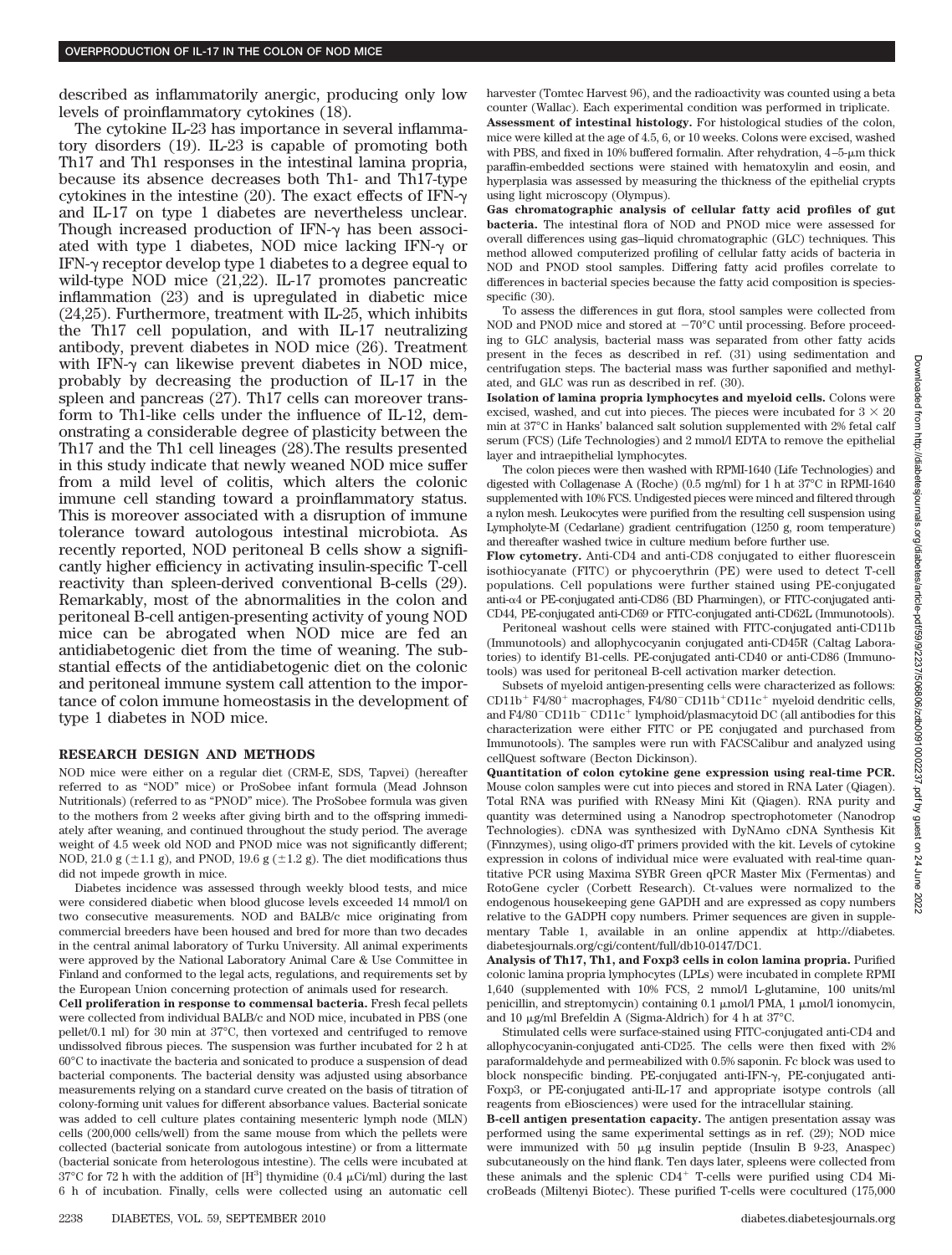described as inflammatorily anergic, producing only low levels of proinflammatory cytokines (18).

The cytokine IL-23 has importance in several inflammatory disorders (19). IL-23 is capable of promoting both Th17 and Th1 responses in the intestinal lamina propria, because its absence decreases both Th1- and Th17-type cytokines in the intestine  $(20)$ . The exact effects of IFN- $\gamma$ and IL-17 on type 1 diabetes are nevertheless unclear. Though increased production of IFN- $\gamma$  has been associated with type 1 diabetes, NOD mice lacking IFN- $\gamma$  or IFN- $\gamma$  receptor develop type 1 diabetes to a degree equal to wild-type NOD mice (21,22). IL-17 promotes pancreatic inflammation (23) and is upregulated in diabetic mice (24,25). Furthermore, treatment with IL-25, which inhibits the Th17 cell population, and with IL-17 neutralizing antibody, prevent diabetes in NOD mice (26). Treatment with IFN- $\nu$  can likewise prevent diabetes in NOD mice. probably by decreasing the production of IL-17 in the spleen and pancreas (27). Th17 cells can moreover transform to Th1-like cells under the influence of IL-12, demonstrating a considerable degree of plasticity between the Th17 and the Th1 cell lineages (28).The results presented in this study indicate that newly weaned NOD mice suffer from a mild level of colitis, which alters the colonic immune cell standing toward a proinflammatory status. This is moreover associated with a disruption of immune tolerance toward autologous intestinal microbiota. As recently reported, NOD peritoneal B cells show a significantly higher efficiency in activating insulin-specific T-cell reactivity than spleen-derived conventional B-cells (29). Remarkably, most of the abnormalities in the colon and peritoneal B-cell antigen-presenting activity of young NOD mice can be abrogated when NOD mice are fed an antidiabetogenic diet from the time of weaning. The substantial effects of the antidiabetogenic diet on the colonic and peritoneal immune system call attention to the importance of colon immune homeostasis in the development of type 1 diabetes in NOD mice.

### **RESEARCH DESIGN AND METHODS**

NOD mice were either on a regular diet (CRM-E, SDS, Tapvei) (hereafter referred to as "NOD" mice) or ProSobee infant formula (Mead Johnson Nutritionals) (referred to as "PNOD" mice). The ProSobee formula was given to the mothers from 2 weeks after giving birth and to the offspring immediately after weaning, and continued throughout the study period. The average weight of 4.5 week old NOD and PNOD mice was not significantly different; NOD, 21.0 g ( $\pm$ 1.1 g), and PNOD, 19.6 g ( $\pm$ 1.2 g). The diet modifications thus did not impede growth in mice.

Diabetes incidence was assessed through weekly blood tests, and mice were considered diabetic when blood glucose levels exceeded 14 mmol/l on two consecutive measurements. NOD and BALB/c mice originating from commercial breeders have been housed and bred for more than two decades in the central animal laboratory of Turku University. All animal experiments were approved by the National Laboratory Animal Care & Use Committee in Finland and conformed to the legal acts, regulations, and requirements set by the European Union concerning protection of animals used for research.

**Cell proliferation in response to commensal bacteria.** Fresh fecal pellets were collected from individual BALB/c and NOD mice, incubated in PBS (one pellet/0.1 ml) for 30 min at 37°C, then vortexed and centrifuged to remove undissolved fibrous pieces. The suspension was further incubated for 2 h at 60°C to inactivate the bacteria and sonicated to produce a suspension of dead bacterial components. The bacterial density was adjusted using absorbance measurements relying on a standard curve created on the basis of titration of colony-forming unit values for different absorbance values. Bacterial sonicate was added to cell culture plates containing mesenteric lymph node (MLN) cells (200,000 cells/well) from the same mouse from which the pellets were collected (bacterial sonicate from autologous intestine) or from a littermate (bacterial sonicate from heterologous intestine). The cells were incubated at 37°C for 72 h with the addition of  $[H^3]$  thymidine (0.4  $\mu$ Ci/ml) during the last 6 h of incubation. Finally, cells were collected using an automatic cell

harvester (Tomtec Harvest 96), and the radioactivity was counted using a beta counter (Wallac). Each experimental condition was performed in triplicate. **Assessment of intestinal histology.** For histological studies of the colon, mice were killed at the age of 4.5, 6, or 10 weeks. Colons were excised, washed with PBS, and fixed in 10% buffered formalin. After rehydration,  $4-5-\mu m$  thick paraffin-embedded sections were stained with hematoxylin and eosin, and hyperplasia was assessed by measuring the thickness of the epithelial crypts using light microscopy (Olympus).

**Gas chromatographic analysis of cellular fatty acid profiles of gut bacteria.** The intestinal flora of NOD and PNOD mice were assessed for overall differences using gas–liquid chromatographic (GLC) techniques. This method allowed computerized profiling of cellular fatty acids of bacteria in NOD and PNOD stool samples. Differing fatty acid profiles correlate to differences in bacterial species because the fatty acid composition is speciesspecific (30).

To assess the differences in gut flora, stool samples were collected from NOD and PNOD mice and stored at  $-70^{\circ}$ C until processing. Before proceeding to GLC analysis, bacterial mass was separated from other fatty acids present in the feces as described in ref. (31) using sedimentation and centrifugation steps. The bacterial mass was further saponified and methylated, and GLC was run as described in ref. (30).

**Isolation of lamina propria lymphocytes and myeloid cells.** Colons were excised, washed, and cut into pieces. The pieces were incubated for  $3 \times 20$ min at 37°C in Hanks' balanced salt solution supplemented with 2% fetal calf serum (FCS) (Life Technologies) and 2 mmol/l EDTA to remove the epithelial layer and intraepithelial lymphocytes.

The colon pieces were then washed with RPMI-1640 (Life Technologies) and digested with Collagenase A (Roche) (0.5 mg/ml) for 1 h at 37°C in RPMI-1640 supplemented with 10% FCS. Undigested pieces were minced and filtered through a nylon mesh. Leukocytes were purified from the resulting cell suspension using Lympholyte-M (Cedarlane) gradient centrifugation (1250 g, room temperature) and thereafter washed twice in culture medium before further use.

**Flow cytometry.** Anti-CD4 and anti-CD8 conjugated to either fluorescein isothiocyanate (FITC) or phycoerythrin (PE) were used to detect T-cell populations. Cell populations were further stained using PE-conjugated anti-4 or PE-conjugated anti-CD86 (BD Pharmingen), or FITC-conjugated anti-CD44, PE-conjugated anti-CD69 or FITC-conjugated anti-CD62L (Immunotools).

Peritoneal washout cells were stained with FITC-conjugated anti-CD11b (Immunotools) and allophycocyanin conjugated anti-CD45R (Caltag Laboratories) to identify B1-cells. PE-conjugated anti-CD40 or anti-CD86 (Immunotools) was used for peritoneal B-cell activation marker detection.

Subsets of myeloid antigen-presenting cells were characterized as follows: CD11b<sup>+</sup> F4/80<sup>+</sup> macrophages, F4/80<sup>-</sup>CD11b<sup>+</sup>CD11c<sup>+</sup> myeloid dendritic cells, and F4/80<sup>-</sup>CD11b<sup>-</sup> CD11c<sup>+</sup> lymphoid/plasmacytoid DC (all antibodies for this characterization were either FITC or PE conjugated and purchased from Immunotools). The samples were run with FACSCalibur and analyzed using cellQuest software (Becton Dickinson).

**Quantitation of colon cytokine gene expression using real-time PCR.** Mouse colon samples were cut into pieces and stored in RNA Later (Qiagen). Total RNA was purified with RNeasy Mini Kit (Qiagen). RNA purity and quantity was determined using a Nanodrop spectrophotometer (Nanodrop Technologies). cDNA was synthesized with DyNAmo cDNA Synthesis Kit (Finnzymes), using oligo-dT primers provided with the kit. Levels of cytokine expression in colons of individual mice were evaluated with real-time quantitative PCR using Maxima SYBR Green qPCR Master Mix (Fermentas) and RotoGene cycler (Corbett Research). Ct*-*values were normalized to the endogenous housekeeping gene GAPDH and are expressed as copy numbers relative to the GADPH copy numbers. Primer sequences are given in supplementary Table 1, available in an online appendix at http://diabetes. diabetesjournals.org/cgi/content/full/db10-0147/DC1.

**Analysis of Th17, Th1, and Foxp3 cells in colon lamina propria.** Purified colonic lamina propria lymphocytes (LPLs) were incubated in complete RPMI 1,640 (supplemented with 10% FCS, 2 mmol/l L-glutamine, 100 units/ml penicillin, and streptomycin) containing 0.1 µmol/l PMA, 1 µmol/l ionomycin, and 10  $\mu$ g/ml Brefeldin A (Sigma-Aldrich) for 4 h at 37°C.

Stimulated cells were surface-stained using FITC-conjugated anti-CD4 and allophycocyanin-conjugated anti-CD25. The cells were then fixed with 2% paraformaldehyde and permeabilized with 0.5% saponin. Fc block was used to block nonspecific binding. PE-conjugated anti-IFN- $\gamma$ , PE-conjugated anti-Foxp3, or PE-conjugated anti-IL-17 and appropriate isotype controls (all reagents from eBiosciences) were used for the intracellular staining.

**B-cell antigen presentation capacity.** The antigen presentation assay was performed using the same experimental settings as in ref. (29); NOD mice were immunized with 50 µg insulin peptide (Insulin B 9-23, Anaspec) subcutaneously on the hind flank. Ten days later, spleens were collected from these animals and the splenic CD4 T-cells were purified using CD4 MicroBeads (Miltenyi Biotec). These purified T-cells were cocultured (175,000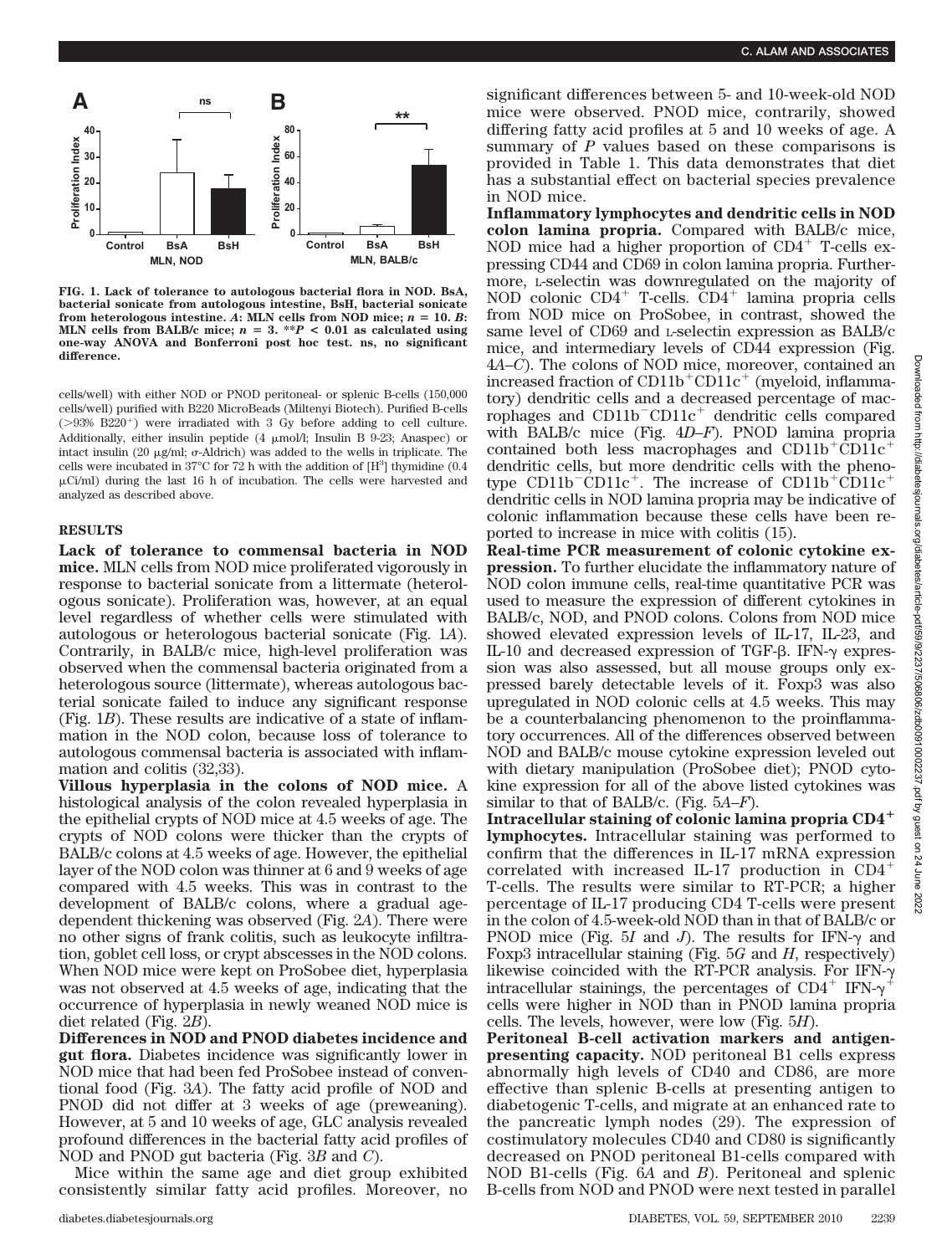

**FIG. 1. Lack of tolerance to autologous bacterial flora in NOD. BsA, bacterial sonicate from autologous intestine, BsH, bacterial sonicate** from heterologous intestine.  $A$ **:** MLN cells from NOD mice;  $n = 10$ .  $B$ **: MLN** cells from BALB/c mice;  $n = 3$ . \*\* $P < 0.01$  as calculated using **one-way ANOVA and Bonferroni post hoc test. ns, no significant difference.**

cells/well) with either NOD or PNOD peritoneal- or splenic B-cells (150,000 cells/well) purified with B220 MicroBeads (Miltenyi Biotech). Purified B-cells  $(>93\%$  B220<sup>+</sup>) were irradiated with 3 Gy before adding to cell culture. Additionally, either insulin peptide  $(4 \mu \text{mol/l}; \text{Insulin B } 9-23; \text{Anaspec})$  or intact insulin (20  $\mu$ g/ml;  $\sigma$ -Aldrich) was added to the wells in triplicate. The cells were incubated in  $37^{\circ}$ C for  $72$  h with the addition of  $[H^3]$  thymidine (0.4  $\mu$ Ci/ml) during the last 16 h of incubation. The cells were harvested and analyzed as described above.

## **RESULTS**

**Lack of tolerance to commensal bacteria in NOD mice.** MLN cells from NOD mice proliferated vigorously in response to bacterial sonicate from a littermate (heterologous sonicate). Proliferation was, however, at an equal level regardless of whether cells were stimulated with autologous or heterologous bacterial sonicate (Fig. 1*A*). Contrarily, in BALB/c mice, high-level proliferation was observed when the commensal bacteria originated from a heterologous source (littermate), whereas autologous bacterial sonicate failed to induce any significant response (Fig. 1*B*). These results are indicative of a state of inflammation in the NOD colon, because loss of tolerance to autologous commensal bacteria is associated with inflammation and colitis (32,33).

**Villous hyperplasia in the colons of NOD mice.** A histological analysis of the colon revealed hyperplasia in the epithelial crypts of NOD mice at 4.5 weeks of age. The crypts of NOD colons were thicker than the crypts of BALB/c colons at 4.5 weeks of age. However, the epithelial layer of the NOD colon was thinner at 6 and 9 weeks of age compared with 4.5 weeks. This was in contrast to the development of BALB/c colons, where a gradual agedependent thickening was observed (Fig. 2*A*). There were no other signs of frank colitis, such as leukocyte infiltration, goblet cell loss, or crypt abscesses in the NOD colons. When NOD mice were kept on ProSobee diet, hyperplasia was not observed at 4.5 weeks of age, indicating that the occurrence of hyperplasia in newly weaned NOD mice is diet related (Fig. 2*B*).

**Differences in NOD and PNOD diabetes incidence and gut flora.** Diabetes incidence was significantly lower in NOD mice that had been fed ProSobee instead of conventional food (Fig. 3*A*). The fatty acid profile of NOD and PNOD did not differ at 3 weeks of age (preweaning). However, at 5 and 10 weeks of age, GLC analysis revealed profound differences in the bacterial fatty acid profiles of NOD and PNOD gut bacteria (Fig. 3*B* and *C*).

Mice within the same age and diet group exhibited consistently similar fatty acid profiles. Moreover, no significant differences between 5- and 10-week-old NOD mice were observed. PNOD mice, contrarily, showed differing fatty acid profiles at 5 and 10 weeks of age. A summary of *P* values based on these comparisons is provided in Table 1. This data demonstrates that diet has a substantial effect on bacterial species prevalence in NOD mice.

**Inflammatory lymphocytes and dendritic cells in NOD colon lamina propria.** Compared with BALB/c mice, NOD mice had a higher proportion of  $CD4^+$  T-cells expressing CD44 and CD69 in colon lamina propria. Furthermore, L-selectin was downregulated on the majority of NOD colonic  $CD4^+$  T-cells.  $CD4^+$  lamina propria cells from NOD mice on ProSobee, in contrast, showed the same level of CD69 and L-selectin expression as BALB/c mice, and intermediary levels of CD44 expression (Fig. 4*A–C*). The colons of NOD mice, moreover, contained an increased fraction of  $CD11b^+CD11c^+$  (myeloid, inflammatory) dendritic cells and a decreased percentage of macrophages and  $CD11b$ <sup>-</sup>CD11c<sup>+</sup> dendritic cells compared with BALB/c mice (Fig. 4*D–F*). PNOD lamina propria contained both less macrophages and  $CD11b^+CD11c^+$ dendritic cells, but more dendritic cells with the phenotype  $CD11b$ <sup>-</sup> $CD11c$ <sup>+</sup>. The increase of  $CD11b$ <sup>+</sup> $CD11c$ <sup>+</sup> dendritic cells in NOD lamina propria may be indicative of colonic inflammation because these cells have been reported to increase in mice with colitis (15).

**Real-time PCR measurement of colonic cytokine expression.** To further elucidate the inflammatory nature of NOD colon immune cells, real-time quantitative PCR was used to measure the expression of different cytokines in BALB/c, NOD, and PNOD colons. Colons from NOD mice showed elevated expression levels of IL-17, IL-23, and IL-10 and decreased expression of TGF- $\beta$ . IFN- $\gamma$  expression was also assessed, but all mouse groups only expressed barely detectable levels of it. Foxp3 was also upregulated in NOD colonic cells at 4.5 weeks. This may be a counterbalancing phenomenon to the proinflammatory occurrences. All of the differences observed between NOD and BALB/c mouse cytokine expression leveled out with dietary manipulation (ProSobee diet); PNOD cytokine expression for all of the above listed cytokines was similar to that of BALB/c. (Fig. 5*A–F*).

**Intracellular staining of colonic lamina propria CD4 lymphocytes.** Intracellular staining was performed to confirm that the differences in IL-17 mRNA expression correlated with increased IL-17 production in CD4 T-cells. The results were similar to RT-PCR; a higher percentage of IL-17 producing CD4 T-cells were present in the colon of 4.5-week-old NOD than in that of BALB/c or PNOD mice (Fig. 5*I* and *J*). The results for IFN- $\gamma$  and Foxp3 intracellular staining (Fig. 5*G* and *H*, respectively) likewise coincided with the RT-PCR analysis. For IFN- $\gamma$ intracellular stainings, the percentages of  $CD4^+$  IFN- $\gamma$ cells were higher in NOD than in PNOD lamina propria cells. The levels, however, were low (Fig. 5*H*).

**Peritoneal B-cell activation markers and antigenpresenting capacity.** NOD peritoneal B1 cells express abnormally high levels of CD40 and CD86, are more effective than splenic B-cells at presenting antigen to diabetogenic T-cells, and migrate at an enhanced rate to the pancreatic lymph nodes (29). The expression of costimulatory molecules CD40 and CD80 is significantly decreased on PNOD peritoneal B1-cells compared with NOD B1-cells (Fig. 6*A* and *B*). Peritoneal and splenic B-cells from NOD and PNOD were next tested in parallel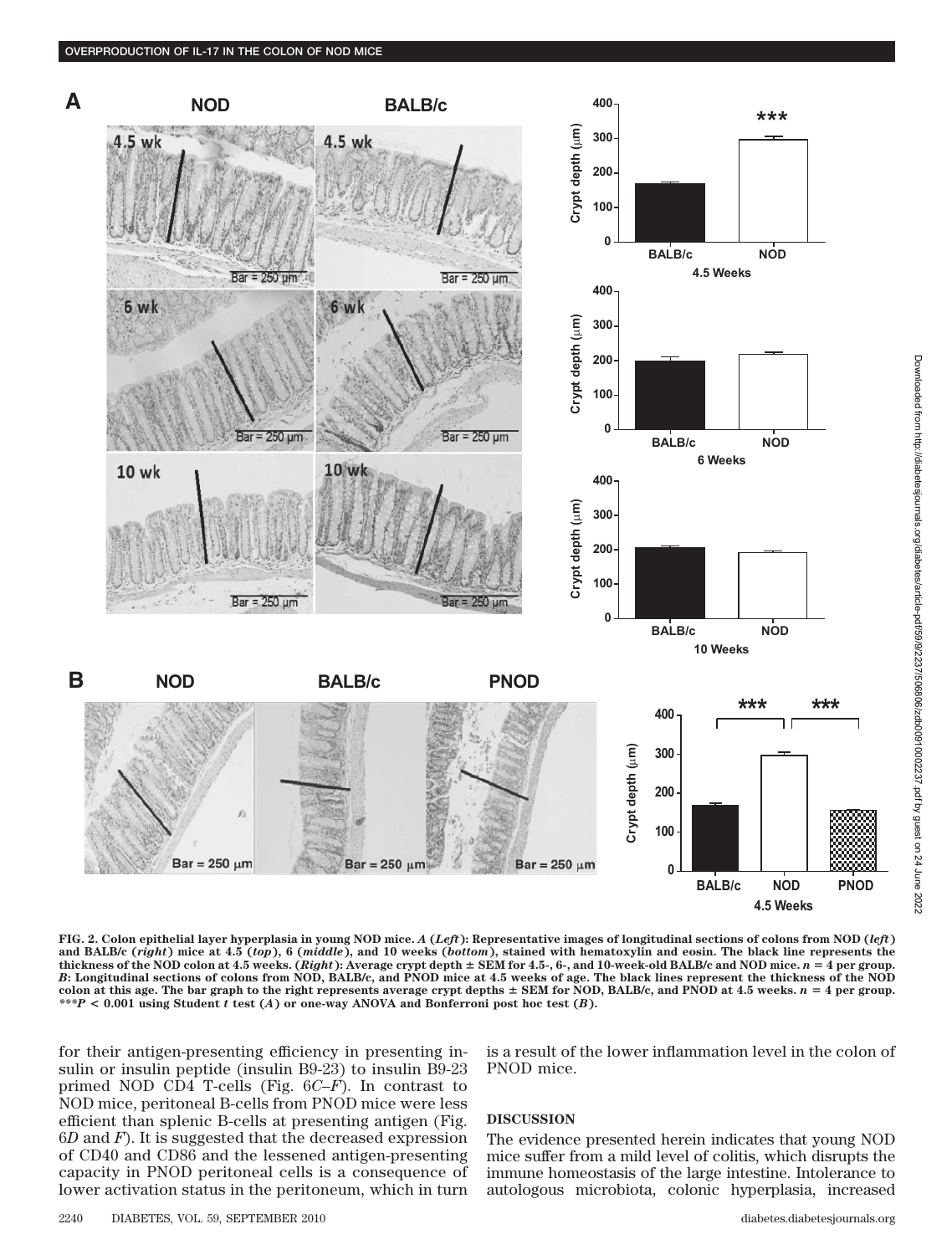

**FIG. 2. Colon epithelial layer hyperplasia in young NOD mice.** *A* **(***Left***): Representative images of longitudinal sections of colons from NOD (***left***) and BALB/c (***right***) mice at 4.5 (***top***), 6 (***middle***), and 10 weeks (***bottom***), stained with hematoxylin and eosin. The black line represents the thickness of the NOD colon at 4.5 weeks. (***Right***): Average crypt depth SEM for 4.5-, 6-, and 10-week-old BALB/c and NOD mice.** *n* - **4 per group.** *B***: Longitudinal sections of colons from NOD, BALB/c, and PNOD mice at 4.5 weeks of age. The black lines represent the thickness of the NOD** colon at this age. The bar graph to the right represents average crypt depths  $\pm$  SEM for NOD, BALB/c, and PNOD at 4.5 weeks.  $n = 4$  per group. *\*\*\*P* **< 0.001 using Student** *t* **test (***A***) or one-way ANOVA and Bonferroni post hoc test (***B***).**

for their antigen-presenting efficiency in presenting insulin or insulin peptide (insulin B9-23) to insulin B9-23 primed NOD CD4 T-cells (Fig. 6*C–F*). In contrast to NOD mice, peritoneal B-cells from PNOD mice were less efficient than splenic B-cells at presenting antigen (Fig. 6*D* and *F*). It is suggested that the decreased expression of CD40 and CD86 and the lessened antigen-presenting capacity in PNOD peritoneal cells is a consequence of lower activation status in the peritoneum, which in turn

is a result of the lower inflammation level in the colon of PNOD mice.

## **DISCUSSION**

The evidence presented herein indicates that young NOD mice suffer from a mild level of colitis, which disrupts the immune homeostasis of the large intestine. Intolerance to autologous microbiota, colonic hyperplasia, increased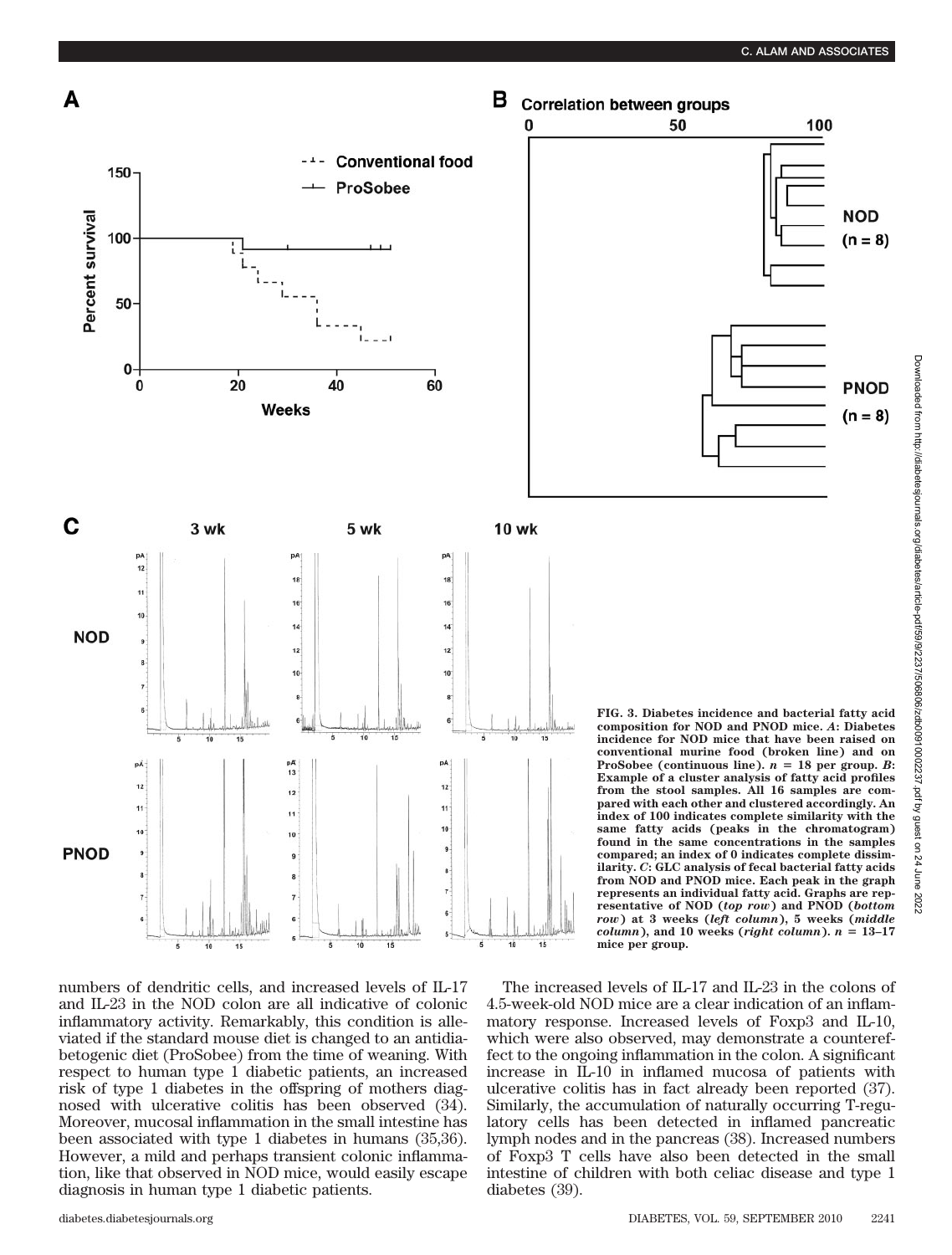

numbers of dendritic cells, and increased levels of IL-17 and IL-23 in the NOD colon are all indicative of colonic inflammatory activity. Remarkably, this condition is alleviated if the standard mouse diet is changed to an antidiabetogenic diet (ProSobee) from the time of weaning. With respect to human type 1 diabetic patients, an increased risk of type 1 diabetes in the offspring of mothers diagnosed with ulcerative colitis has been observed (34). Moreover, mucosal inflammation in the small intestine has been associated with type 1 diabetes in humans (35,36). However, a mild and perhaps transient colonic inflammation, like that observed in NOD mice, would easily escape diagnosis in human type 1 diabetic patients.



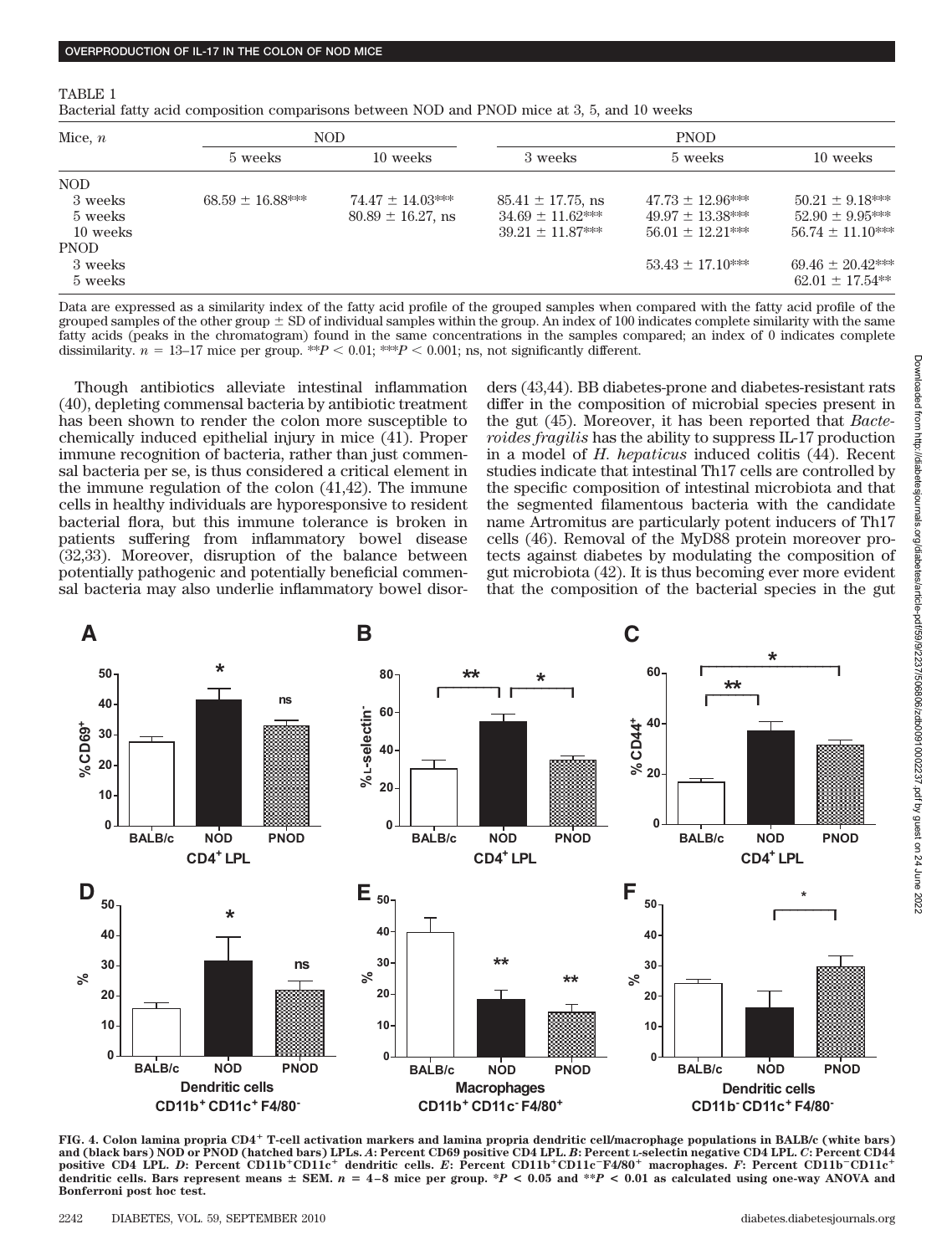| . . |  |
|-----|--|
|-----|--|

Bacterial fatty acid composition comparisons between NOD and PNOD mice at 3, 5, and 10 weeks

| Mice, $n$ | <b>NOD</b>           |                        | <b>PNOD</b>            |                      |                       |
|-----------|----------------------|------------------------|------------------------|----------------------|-----------------------|
|           | 5 weeks              | 10 weeks               | 3 weeks                | 5 weeks              | 10 weeks              |
| NOD.      |                      |                        |                        |                      |                       |
| 3 weeks   | $68.59 \pm 16.88***$ | $74.47 \pm 14.03***$   | $85.41 \pm 17.75$ , ns | $47.73 \pm 12.96***$ | $50.21 \pm 9.18***$   |
| 5 weeks   |                      | $80.89 \pm 16.27$ , ns | $34.69 \pm 11.62***$   | $49.97 \pm 13.38***$ | $52.90 \pm 9.95***$   |
| 10 weeks  |                      |                        | $39.21 + 11.87***$     | $56.01 + 12.21***$   | $56.74 \pm 11.10***$  |
| PNOD      |                      |                        |                        |                      |                       |
| 3 weeks   |                      |                        |                        | $53.43 \pm 17.10***$ | $69.46 \pm 20.42$ *** |
| 5 weeks   |                      |                        |                        |                      | $62.01 \pm 17.54***$  |

Data are expressed as a similarity index of the fatty acid profile of the grouped samples when compared with the fatty acid profile of the grouped samples of the other group  $\pm$  SD of individual samples within the group. An index of 100 indicates complete similarity with the same fatty acids (peaks in the chromatogram) found in the same concentrations in the samples compared; an index of 0 indicates complete dissimilarity.  $n = 13-17$  mice per group. \*\* $P < 0.01$ ; \*\* $P < 0.001$ ; ns, not significantly different.

Though antibiotics alleviate intestinal inflammation (40), depleting commensal bacteria by antibiotic treatment has been shown to render the colon more susceptible to chemically induced epithelial injury in mice (41). Proper immune recognition of bacteria, rather than just commensal bacteria per se, is thus considered a critical element in the immune regulation of the colon (41,42). The immune cells in healthy individuals are hyporesponsive to resident bacterial flora, but this immune tolerance is broken in patients suffering from inflammatory bowel disease (32,33). Moreover, disruption of the balance between potentially pathogenic and potentially beneficial commensal bacteria may also underlie inflammatory bowel disorders (43,44). BB diabetes-prone and diabetes-resistant rats differ in the composition of microbial species present in the gut (45). Moreover, it has been reported that *Bacteroides fragilis* has the ability to suppress IL-17 production in a model of *H. hepaticus* induced colitis (44). Recent studies indicate that intestinal Th17 cells are controlled by the specific composition of intestinal microbiota and that the segmented filamentous bacteria with the candidate name Artromitus are particularly potent inducers of Th17 cells (46). Removal of the MyD88 protein moreover protects against diabetes by modulating the composition of gut microbiota (42). It is thus becoming ever more evident that the composition of the bacterial species in the gut



**FIG. 4. Colon lamina propria CD4 T-cell activation markers and lamina propria dendritic cell/macrophage populations in BALB/c (white bars) and (black bars) NOD or PNOD (hatched bars) LPLs.** *A***: Percent CD69 positive CD4 LPL.** *B***: Percent L-selectin negative CD4 LPL.** *C***: Percent CD44 positive CD4 LPL. D: Percent CD11b<sup>+</sup>CD11c<sup>+</sup> dendritic cells.** *E***: Percent CD11b<sup>+</sup>CD11c<sup>-</sup>F4/80<sup>+</sup> macrophages.** *F***: Percent CD11b<sup>-</sup>CD11c<sup>+</sup>** dendritic cells. Bars represent means  $\pm$  SEM.  $n = 4-8$  mice per group. \**P* < 0.05 and \*\**P* < 0.01 as calculated using one-way ANOVA and **Bonferroni post hoc test.**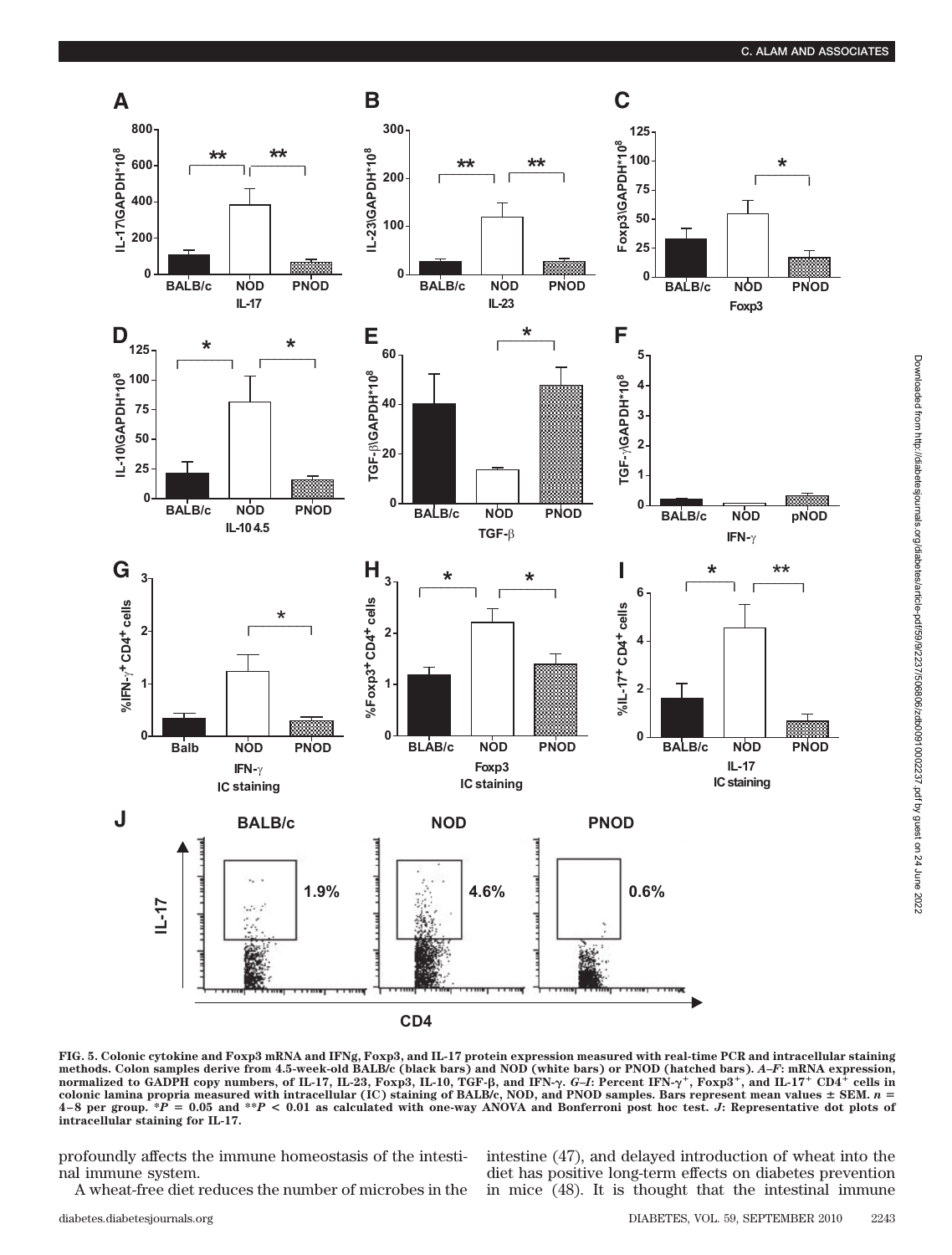

Downloaded from http://diabetesjournals.org/diabetes/article-pdf/59/9/2237/506806/zdb00910002237.pdf by guest on 24 June 2022

Downloaded from http://diabetesjournals.org/diabetes/article-pdf/59/9/2237/506806/zdb00910002237.pdf by guest on 24 June 2022

**FIG. 5. Colonic cytokine and Foxp3 mRNA and IFNg, Foxp3, and IL-17 protein expression measured with real-time PCR and intracellular staining** methods. Colon samples derive from 4.5-week-old BALB/c (black bars) and NOD (white bars) or PNOD (hatched bars). A–F: mRNA expression,<br>normalized to GADPH copy numbers, of IL-17, IL-23, Foxp3, IL-10, TGF-β, and IFN-γ. G–I: colonic lamina propria measured with intracellular (IC) staining of BALB/c, NOD, and PNOD samples. Bars represent mean values  $\pm$  SEM.  $n =$  $4-8$  per group.  $*P = 0.05$  and  $*P < 0.01$  as calculated with one-way ANOVA and Bonferroni post hoc test. *J*: Representative dot plots of **intracellular staining for IL-17.**

profoundly affects the immune homeostasis of the intestinal immune system.

A wheat-free diet reduces the number of microbes in the

intestine (47), and delayed introduction of wheat into the diet has positive long-term effects on diabetes prevention in mice (48). It is thought that the intestinal immune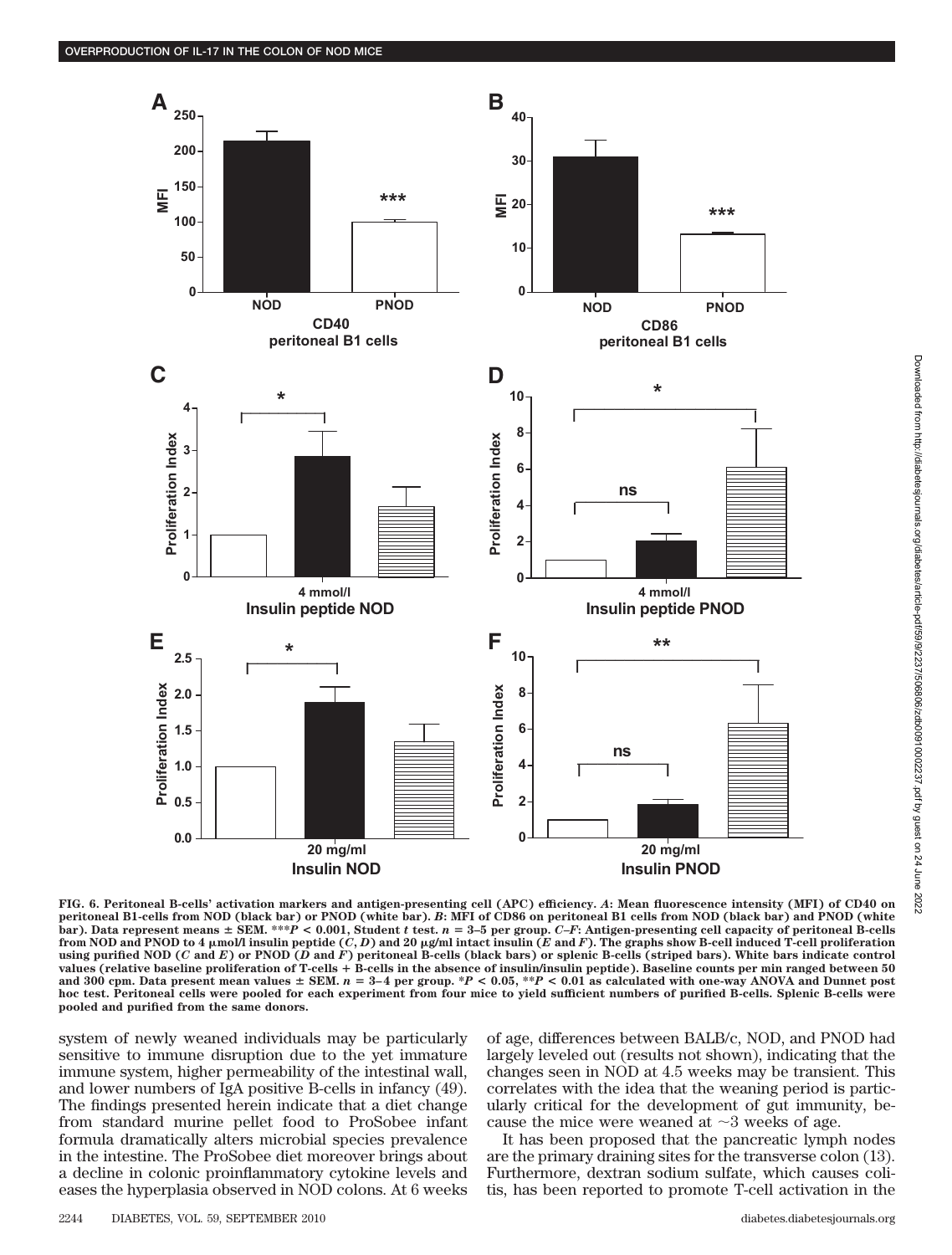

Downloaded from http://diabetesjournals.org/diabetes/article-pdf/59/9/2237/506806/zdb00910002237.pdf by guest on 24 June Downloaded from http://diabetesjournals.org/diabetes/article-pdf/59/9/2237/506806/zdb00910002237.pdf by guest on 24 June 20222022

**FIG. 6. Peritoneal B-cells' activation markers and antigen-presenting cell (APC) efficiency.** *A***: Mean fluorescence intensity (MFI) of CD40 on peritoneal B1-cells from NOD (black bar) or PNOD (white bar).** *B***: MFI of CD86 on peritoneal B1 cells from NOD (black bar) and PNOD (white bar). Data represent means SEM. \*\*\****P* **< 0.001, Student** *t* **test.** *n* - **3–5 per group.** *C–F***: Antigen-presenting cell capacity of peritoneal B-cells from NOD and PNOD to 4 mol/l insulin peptide (***C***,** *D***) and 20 g/ml intact insulin (***E* **and** *F***). The graphs show B-cell induced T-cell proliferation using purified NOD (***C* **and** *E***) or PNOD (***D* **and** *F***) peritoneal B-cells (black bars) or splenic B-cells (striped bars). White bars indicate control values (relative baseline proliferation of T-cells B-cells in the absence of insulin/insulin peptide). Baseline counts per min ranged between 50** and 300 cpm. Data present mean values  $\pm$  SEM.  $n = 3-4$  per group. \* $P < 0.05$ , \*\* $P < 0.01$  as calculated with one-way ANOVA and Dunnet post **hoc test. Peritoneal cells were pooled for each experiment from four mice to yield sufficient numbers of purified B-cells. Splenic B-cells were pooled and purified from the same donors.**

system of newly weaned individuals may be particularly sensitive to immune disruption due to the yet immature immune system, higher permeability of the intestinal wall, and lower numbers of IgA positive B-cells in infancy (49). The findings presented herein indicate that a diet change from standard murine pellet food to ProSobee infant formula dramatically alters microbial species prevalence in the intestine. The ProSobee diet moreover brings about a decline in colonic proinflammatory cytokine levels and eases the hyperplasia observed in NOD colons. At 6 weeks of age, differences between BALB/c, NOD, and PNOD had largely leveled out (results not shown), indicating that the changes seen in NOD at 4.5 weeks may be transient. This correlates with the idea that the weaning period is particularly critical for the development of gut immunity, because the mice were weaned at  $\sim$ 3 weeks of age.

It has been proposed that the pancreatic lymph nodes are the primary draining sites for the transverse colon (13). Furthermore, dextran sodium sulfate, which causes colitis, has been reported to promote T-cell activation in the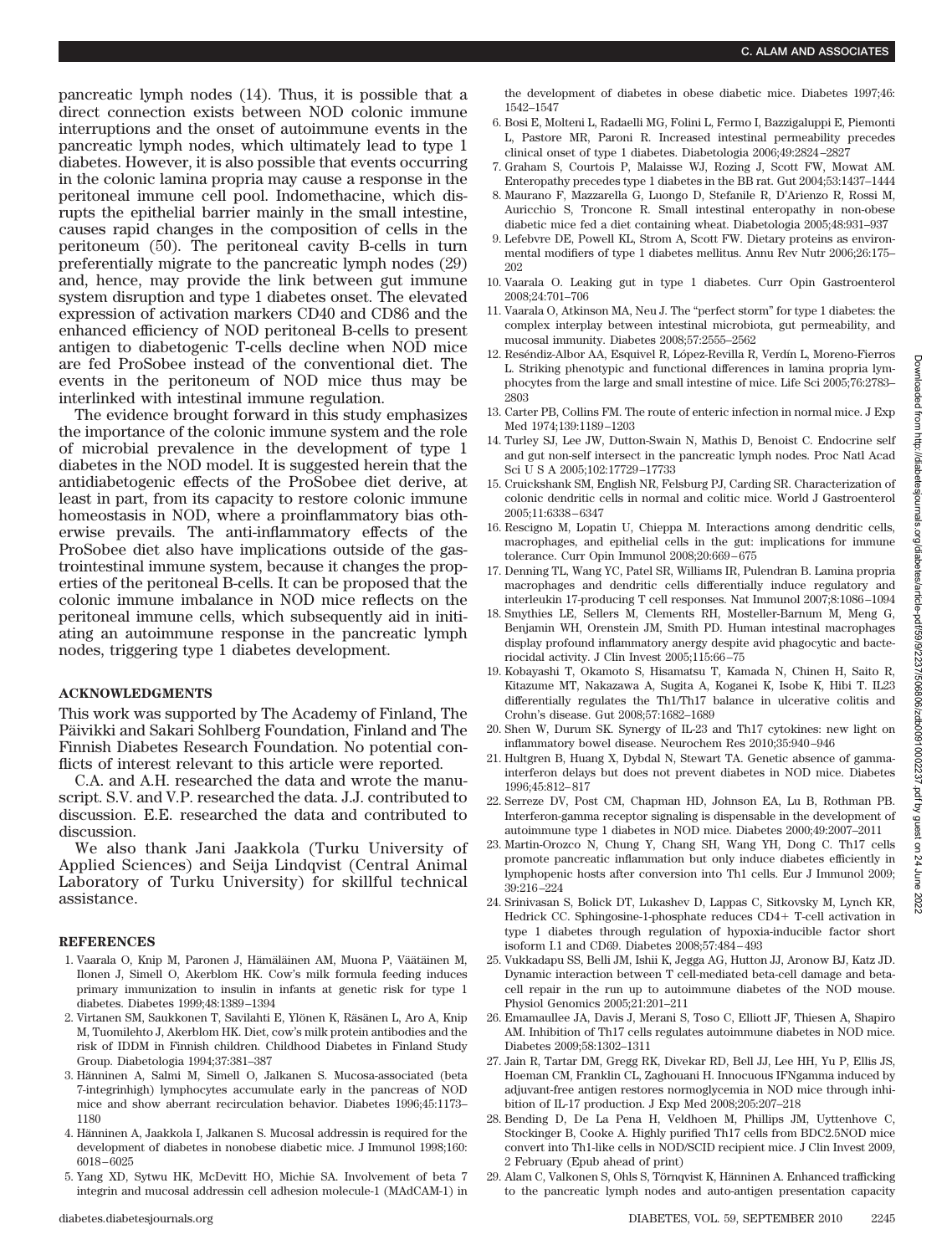pancreatic lymph nodes (14). Thus, it is possible that a direct connection exists between NOD colonic immune interruptions and the onset of autoimmune events in the pancreatic lymph nodes, which ultimately lead to type 1 diabetes. However, it is also possible that events occurring in the colonic lamina propria may cause a response in the peritoneal immune cell pool. Indomethacine, which disrupts the epithelial barrier mainly in the small intestine, causes rapid changes in the composition of cells in the peritoneum (50). The peritoneal cavity B-cells in turn preferentially migrate to the pancreatic lymph nodes (29) and, hence, may provide the link between gut immune system disruption and type 1 diabetes onset. The elevated expression of activation markers CD40 and CD86 and the enhanced efficiency of NOD peritoneal B-cells to present antigen to diabetogenic T-cells decline when NOD mice are fed ProSobee instead of the conventional diet. The events in the peritoneum of NOD mice thus may be interlinked with intestinal immune regulation.

The evidence brought forward in this study emphasizes the importance of the colonic immune system and the role of microbial prevalence in the development of type 1 diabetes in the NOD model. It is suggested herein that the antidiabetogenic effects of the ProSobee diet derive, at least in part, from its capacity to restore colonic immune homeostasis in NOD, where a proinflammatory bias otherwise prevails. The anti-inflammatory effects of the ProSobee diet also have implications outside of the gastrointestinal immune system, because it changes the properties of the peritoneal B-cells. It can be proposed that the colonic immune imbalance in NOD mice reflects on the peritoneal immune cells, which subsequently aid in initiating an autoimmune response in the pancreatic lymph nodes, triggering type 1 diabetes development.

#### **ACKNOWLEDGMENTS**

This work was supported by The Academy of Finland, The Päivikki and Sakari Sohlberg Foundation, Finland and The Finnish Diabetes Research Foundation. No potential conflicts of interest relevant to this article were reported.

C.A. and A.H. researched the data and wrote the manuscript. S.V. and V.P. researched the data. J.J. contributed to discussion. E.E. researched the data and contributed to discussion.

We also thank Jani Jaakkola (Turku University of Applied Sciences) and Seija Lindqvist (Central Animal Laboratory of Turku University) for skillful technical assistance.

#### **REFERENCES**

- 1. Vaarala O, Knip M, Paronen J, Hämäläinen AM, Muona P, Väätäinen M, Ilonen J, Simell O, Akerblom HK. Cow's milk formula feeding induces primary immunization to insulin in infants at genetic risk for type 1 diabetes. Diabetes 1999;48:1389–1394
- 2. Virtanen SM, Saukkonen T, Savilahti E, Ylönen K, Räsänen L, Aro A, Knip M, Tuomilehto J, Akerblom HK. Diet, cow's milk protein antibodies and the risk of IDDM in Finnish children. Childhood Diabetes in Finland Study Group. Diabetologia 1994;37:381–387
- 3. Hänninen A, Salmi M, Simell O, Jalkanen S. Mucosa-associated (beta 7-integrinhigh) lymphocytes accumulate early in the pancreas of NOD mice and show aberrant recirculation behavior. Diabetes 1996;45:1173– 1180
- 4. Hänninen A, Jaakkola I, Jalkanen S. Mucosal addressin is required for the development of diabetes in nonobese diabetic mice. J Immunol 1998;160: 6018–6025
- 5. Yang XD, Sytwu HK, McDevitt HO, Michie SA. Involvement of beta 7 integrin and mucosal addressin cell adhesion molecule-1 (MAdCAM-1) in

the development of diabetes in obese diabetic mice. Diabetes 1997;46: 1542–1547

- 6. Bosi E, Molteni L, Radaelli MG, Folini L, Fermo I, Bazzigaluppi E, Piemonti L, Pastore MR, Paroni R. Increased intestinal permeability precedes clinical onset of type 1 diabetes. Diabetologia 2006;49:2824–2827
- 7. Graham S, Courtois P, Malaisse WJ, Rozing J, Scott FW, Mowat AM. Enteropathy precedes type 1 diabetes in the BB rat. Gut 2004;53:1437–1444
- 8. Maurano F, Mazzarella G, Luongo D, Stefanile R, D'Arienzo R, Rossi M, Auricchio S, Troncone R. Small intestinal enteropathy in non-obese diabetic mice fed a diet containing wheat. Diabetologia 2005;48:931–937
- 9. Lefebvre DE, Powell KL, Strom A, Scott FW. Dietary proteins as environmental modifiers of type 1 diabetes mellitus. Annu Rev Nutr 2006;26:175– 202
- 10. Vaarala O. Leaking gut in type 1 diabetes. Curr Opin Gastroenterol 2008;24:701–706
- 11. Vaarala O, Atkinson MA, Neu J. The "perfect storm" for type 1 diabetes: the complex interplay between intestinal microbiota, gut permeability, and mucosal immunity. Diabetes 2008;57:2555–2562
- 12. Reséndiz-Albor AA, Esquivel R, López-Revilla R, Verdín L, Moreno-Fierros L. Striking phenotypic and functional differences in lamina propria lymphocytes from the large and small intestine of mice. Life Sci 2005;76:2783– 2803
- 13. Carter PB, Collins FM. The route of enteric infection in normal mice. J Exp Med 1974;139:1189–1203
- 14. Turley SJ, Lee JW, Dutton-Swain N, Mathis D, Benoist C. Endocrine self and gut non-self intersect in the pancreatic lymph nodes. Proc Natl Acad Sci U S A 2005;102:17729–17733
- 15. Cruickshank SM, English NR, Felsburg PJ, Carding SR. Characterization of colonic dendritic cells in normal and colitic mice. World J Gastroenterol 2005;11:6338–6347
- 16. Rescigno M, Lopatin U, Chieppa M. Interactions among dendritic cells, macrophages, and epithelial cells in the gut: implications for immune tolerance. Curr Opin Immunol 2008;20:669–675
- 17. Denning TL, Wang YC, Patel SR, Williams IR, Pulendran B. Lamina propria macrophages and dendritic cells differentially induce regulatory and interleukin 17-producing T cell responses. Nat Immunol 2007;8:1086–1094
- 18. Smythies LE, Sellers M, Clements RH, Mosteller-Barnum M, Meng G, Benjamin WH, Orenstein JM, Smith PD. Human intestinal macrophages display profound inflammatory anergy despite avid phagocytic and bacteriocidal activity. J Clin Invest 2005;115:66–75
- 19. Kobayashi T, Okamoto S, Hisamatsu T, Kamada N, Chinen H, Saito R, Kitazume MT, Nakazawa A, Sugita A, Koganei K, Isobe K, Hibi T. IL23 differentially regulates the Th1/Th17 balance in ulcerative colitis and Crohn's disease. Gut 2008;57:1682–1689
- 20. Shen W, Durum SK. Synergy of IL-23 and Th17 cytokines: new light on inflammatory bowel disease. Neurochem Res 2010;35:940–946
- 21. Hultgren B, Huang X, Dybdal N, Stewart TA. Genetic absence of gammainterferon delays but does not prevent diabetes in NOD mice. Diabetes 1996;45:812–817
- 22. Serreze DV, Post CM, Chapman HD, Johnson EA, Lu B, Rothman PB. Interferon-gamma receptor signaling is dispensable in the development of autoimmune type 1 diabetes in NOD mice. Diabetes 2000;49:2007–2011
- 23. Martin-Orozco N, Chung Y, Chang SH, Wang YH, Dong C. Th17 cells promote pancreatic inflammation but only induce diabetes efficiently in lymphopenic hosts after conversion into Th1 cells. Eur J Immunol 2009; 39:216–224
- 24. Srinivasan S, Bolick DT, Lukashev D, Lappas C, Sitkovsky M, Lynch KR, Hedrick CC. Sphingosine-1-phosphate reduces CD4+ T-cell activation in type 1 diabetes through regulation of hypoxia-inducible factor short isoform I.1 and CD69. Diabetes 2008;57:484–493
- 25. Vukkadapu SS, Belli JM, Ishii K, Jegga AG, Hutton JJ, Aronow BJ, Katz JD. Dynamic interaction between T cell-mediated beta-cell damage and betacell repair in the run up to autoimmune diabetes of the NOD mouse. Physiol Genomics 2005;21:201–211
- 26. Emamaullee JA, Davis J, Merani S, Toso C, Elliott JF, Thiesen A, Shapiro AM. Inhibition of Th17 cells regulates autoimmune diabetes in NOD mice. Diabetes 2009;58:1302–1311
- 27. Jain R, Tartar DM, Gregg RK, Divekar RD, Bell JJ, Lee HH, Yu P, Ellis JS, Hoeman CM, Franklin CL, Zaghouani H. Innocuous IFNgamma induced by adjuvant-free antigen restores normoglycemia in NOD mice through inhibition of IL-17 production. J Exp Med 2008;205:207–218
- 28. Bending D, De La Pena H, Veldhoen M, Phillips JM, Uyttenhove C, Stockinger B, Cooke A. Highly purified Th17 cells from BDC2.5NOD mice convert into Th1-like cells in NOD/SCID recipient mice. J Clin Invest 2009, 2 February (Epub ahead of print)
- 29. Alam C, Valkonen S, Ohls S, Törnqvist K, Hänninen A. Enhanced trafficking to the pancreatic lymph nodes and auto-antigen presentation capacity

pownloaded from http